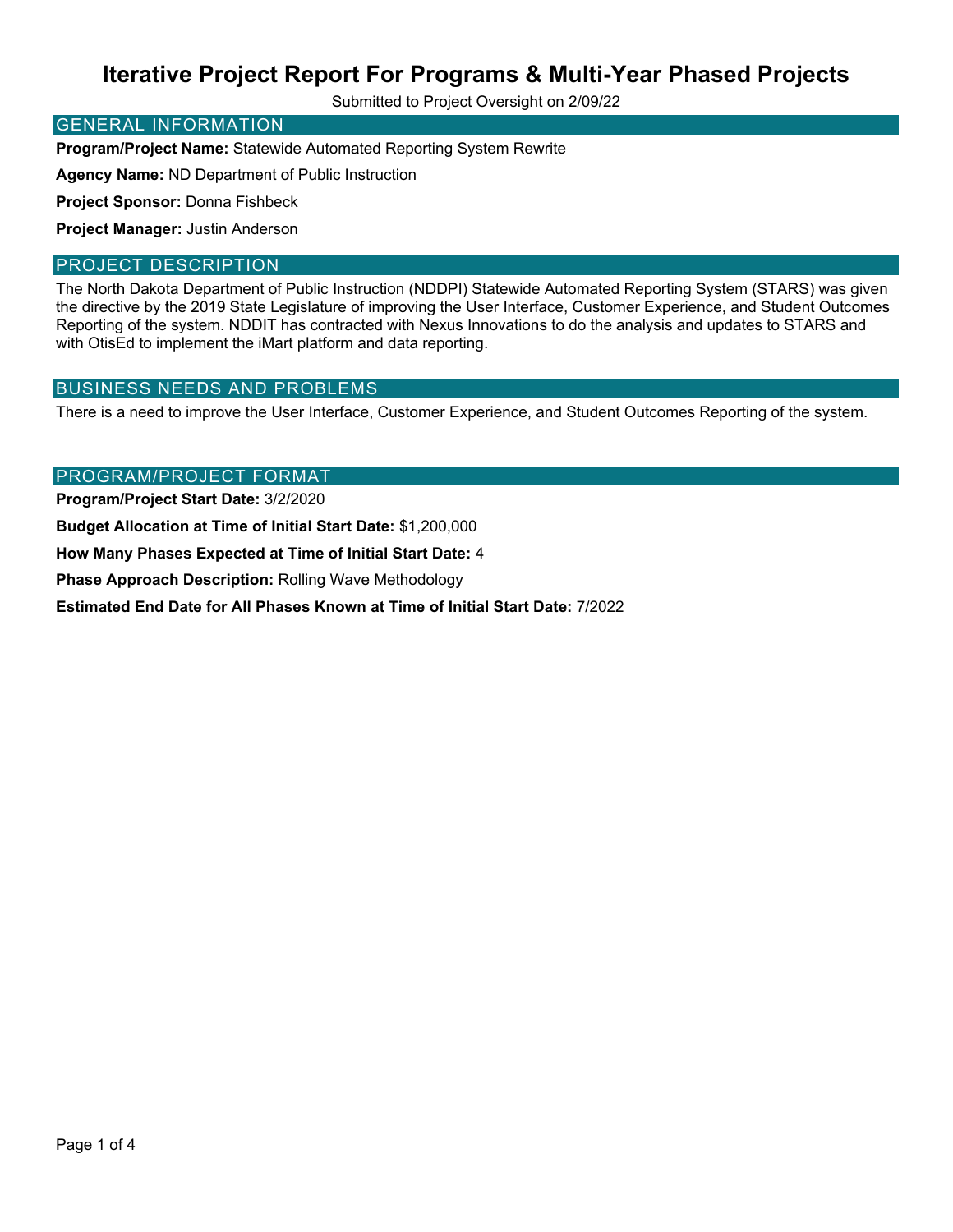Submitted to Project Oversight on 2/09/22

#### GENERAL INFORMATION

**Program/Project Name:** Statewide Automated Reporting System Rewrite

**Agency Name:** ND Department of Public Instruction

**Project Sponsor:** Donna Fishbeck

**Project Manager:** Justin Anderson

#### PROJECT DESCRIPTION

The North Dakota Department of Public Instruction (NDDPI) Statewide Automated Reporting System (STARS) was given the directive by the 2019 State Legislature of improving the User Interface, Customer Experience, and Student Outcomes Reporting of the system. NDDIT has contracted with Nexus Innovations to do the analysis and updates to STARS and with OtisEd to implement the iMart platform and data reporting.

#### BUSINESS NEEDS AND PROBLEMS

There is a need to improve the User Interface, Customer Experience, and Student Outcomes Reporting of the system.

#### PROGRAM/PROJECT FORMAT

**Program/Project Start Date:** 3/2/2020

**Budget Allocation at Time of Initial Start Date:** \$1,200,000

**How Many Phases Expected at Time of Initial Start Date:** 4

**Phase Approach Description:** Rolling Wave Methodology

**Estimated End Date for All Phases Known at Time of Initial Start Date:** 7/2022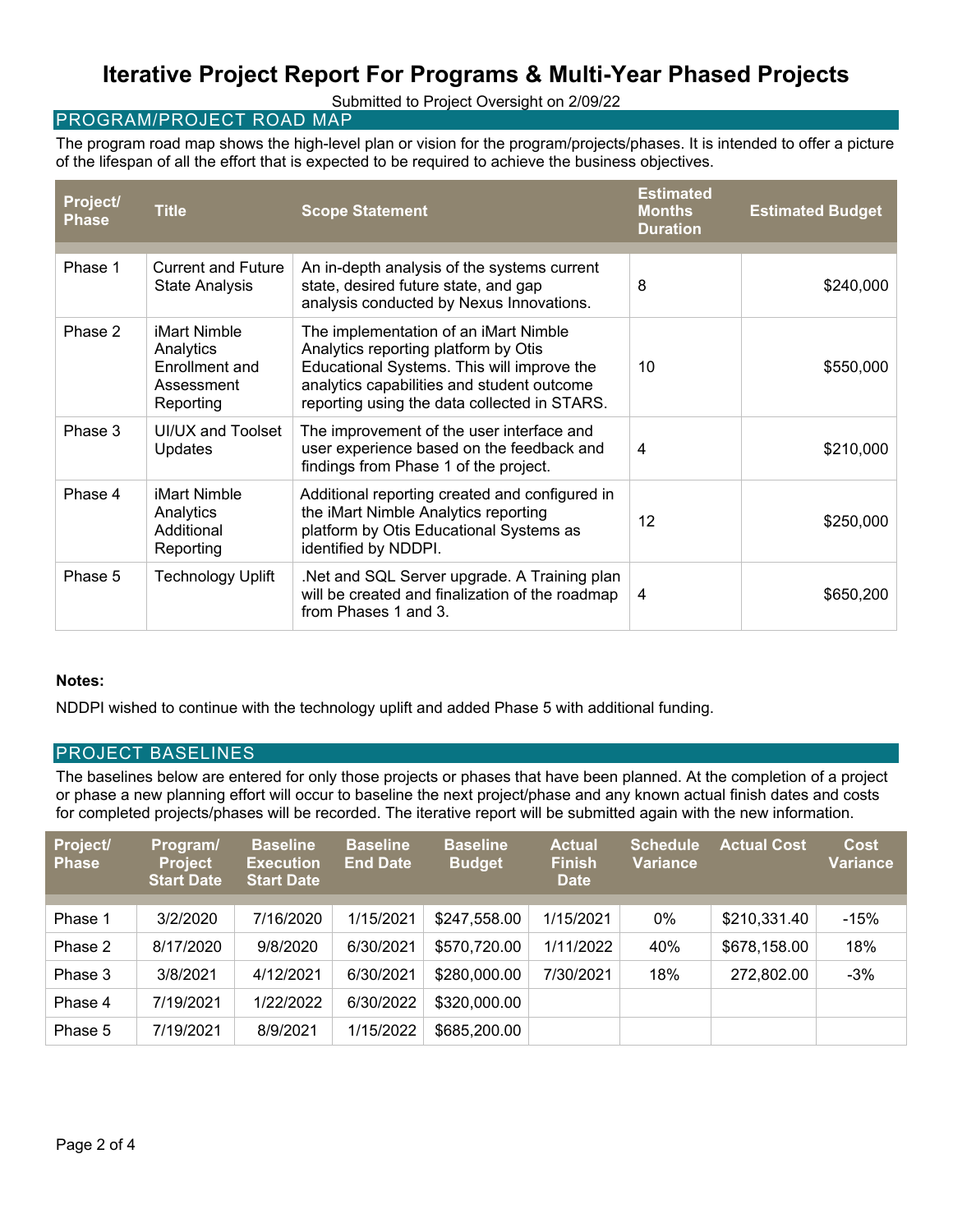Submitted to Project Oversight on 2/09/22

#### PROGRAM/PROJECT ROAD MAP

The program road map shows the high-level plan or vision for the program/projects/phases. It is intended to offer a picture of the lifespan of all the effort that is expected to be required to achieve the business objectives.

| Project/<br><b>Phase</b> | <b>Title</b>                                                           | <b>Scope Statement</b>                                                                                                                                                                                                    | <b>Estimated</b><br><b>Months</b><br><b>Duration</b> | <b>Estimated Budget</b> |
|--------------------------|------------------------------------------------------------------------|---------------------------------------------------------------------------------------------------------------------------------------------------------------------------------------------------------------------------|------------------------------------------------------|-------------------------|
| Phase 1                  | <b>Current and Future</b><br><b>State Analysis</b>                     | An in-depth analysis of the systems current<br>state, desired future state, and gap<br>analysis conducted by Nexus Innovations.                                                                                           | 8                                                    | \$240,000               |
| Phase 2                  | iMart Nimble<br>Analytics<br>Enrollment and<br>Assessment<br>Reporting | The implementation of an iMart Nimble<br>Analytics reporting platform by Otis<br>Educational Systems. This will improve the<br>analytics capabilities and student outcome<br>reporting using the data collected in STARS. | 10                                                   | \$550,000               |
| Phase 3                  | UI/UX and Toolset<br>Updates                                           | The improvement of the user interface and<br>user experience based on the feedback and<br>findings from Phase 1 of the project.                                                                                           | $\overline{4}$                                       | \$210,000               |
| Phase 4                  | iMart Nimble<br>Analytics<br>Additional<br>Reporting                   | Additional reporting created and configured in<br>the iMart Nimble Analytics reporting<br>platform by Otis Educational Systems as<br>identified by NDDPI.                                                                 | 12                                                   | \$250,000               |
| Phase 5                  | <b>Technology Uplift</b>                                               | Net and SQL Server upgrade. A Training plan<br>will be created and finalization of the roadmap<br>from Phases 1 and 3.                                                                                                    | 4                                                    | \$650,200               |

#### **Notes:**

NDDPI wished to continue with the technology uplift and added Phase 5 with additional funding.

#### PROJECT BASELINES

The baselines below are entered for only those projects or phases that have been planned. At the completion of a project or phase a new planning effort will occur to baseline the next project/phase and any known actual finish dates and costs for completed projects/phases will be recorded. The iterative report will be submitted again with the new information.

| Project/<br><b>Phase</b> | Program/<br><b>Project</b><br><b>Start Date</b> | <b>Baseline</b><br><b>Execution</b><br><b>Start Date</b> | <b>Baseline</b><br><b>End Date</b> | <b>Baseline</b><br><b>Budget</b> | <b>Actual</b><br><b>Finish</b><br><b>Date</b> | <b>Schedule</b><br><b>Variance</b> | <b>Actual Cost</b> | <b>Cost</b><br><b>Variance</b> |
|--------------------------|-------------------------------------------------|----------------------------------------------------------|------------------------------------|----------------------------------|-----------------------------------------------|------------------------------------|--------------------|--------------------------------|
|                          |                                                 |                                                          |                                    |                                  |                                               |                                    |                    |                                |
| Phase 1                  | 3/2/2020                                        | 7/16/2020                                                | 1/15/2021                          | \$247,558.00                     | 1/15/2021                                     | 0%                                 | \$210,331.40       | $-15%$                         |
| Phase 2                  | 8/17/2020                                       | 9/8/2020                                                 | 6/30/2021                          | \$570,720.00                     | 1/11/2022                                     | 40%                                | \$678,158.00       | 18%                            |
| Phase 3                  | 3/8/2021                                        | 4/12/2021                                                | 6/30/2021                          | \$280,000.00                     | 7/30/2021                                     | 18%                                | 272,802.00         | $-3%$                          |
| Phase 4                  | 7/19/2021                                       | 1/22/2022                                                | 6/30/2022                          | \$320,000.00                     |                                               |                                    |                    |                                |
| Phase 5                  | 7/19/2021                                       | 8/9/2021                                                 | 1/15/2022                          | \$685,200.00                     |                                               |                                    |                    |                                |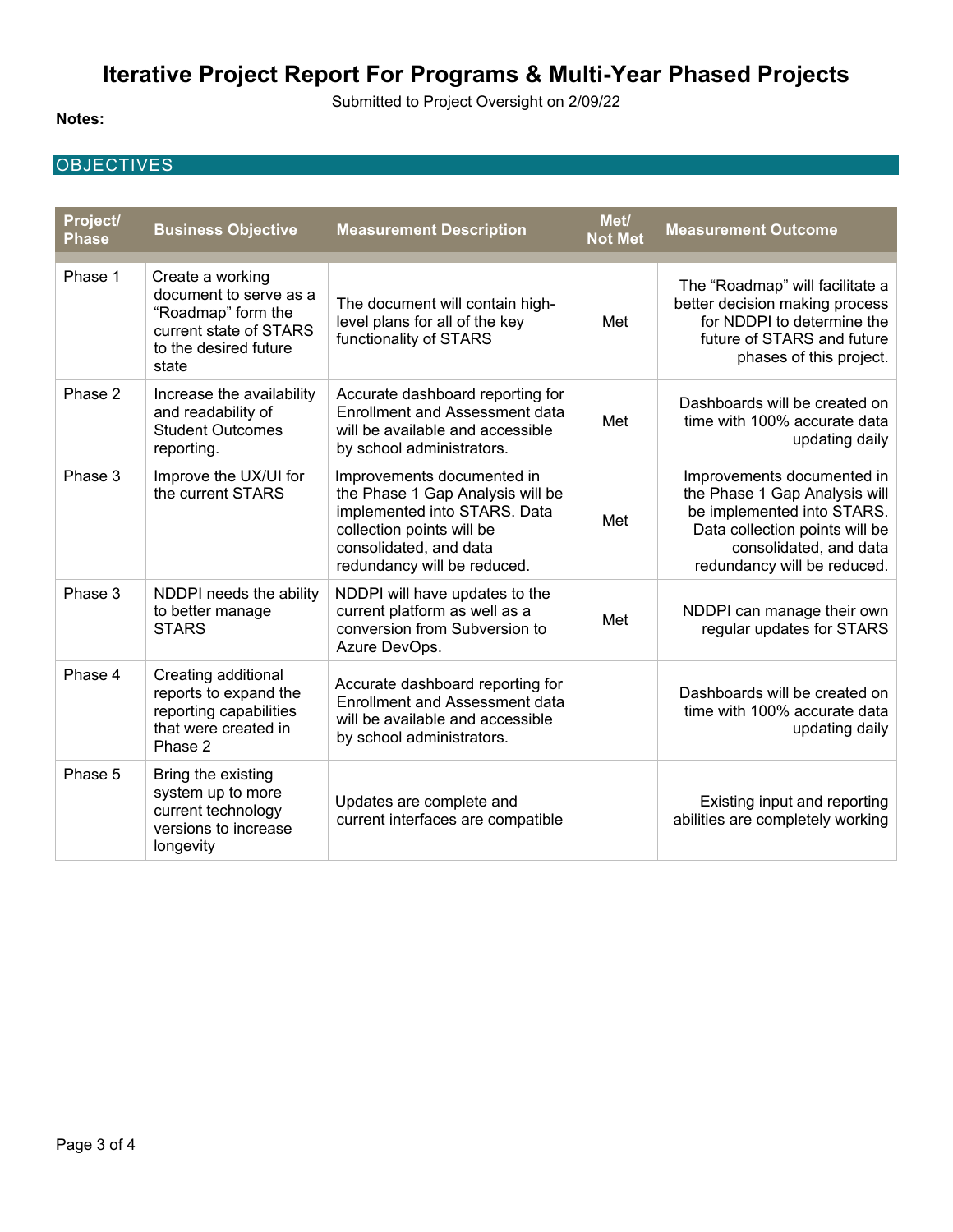Submitted to Project Oversight on 2/09/22

#### **Notes:**

### **OBJECTIVES**

| Project/<br><b>Phase</b> | <b>Business Objective</b>                                                                                                    | <b>Measurement Description</b>                                                                                                                                                       | Met/<br><b>Not Met</b> | <b>Measurement Outcome</b>                                                                                                                                                           |
|--------------------------|------------------------------------------------------------------------------------------------------------------------------|--------------------------------------------------------------------------------------------------------------------------------------------------------------------------------------|------------------------|--------------------------------------------------------------------------------------------------------------------------------------------------------------------------------------|
| Phase 1                  | Create a working<br>document to serve as a<br>"Roadmap" form the<br>current state of STARS<br>to the desired future<br>state | The document will contain high-<br>level plans for all of the key<br>functionality of STARS                                                                                          | Met                    | The "Roadmap" will facilitate a<br>better decision making process<br>for NDDPI to determine the<br>future of STARS and future<br>phases of this project.                             |
| Phase 2                  | Increase the availability<br>and readability of<br><b>Student Outcomes</b><br>reporting.                                     | Accurate dashboard reporting for<br><b>Enrollment and Assessment data</b><br>will be available and accessible<br>by school administrators.                                           | Met                    | Dashboards will be created on<br>time with 100% accurate data<br>updating daily                                                                                                      |
| Phase 3                  | Improve the UX/UI for<br>the current STARS                                                                                   | Improvements documented in<br>the Phase 1 Gap Analysis will be<br>implemented into STARS. Data<br>collection points will be<br>consolidated, and data<br>redundancy will be reduced. | Met                    | Improvements documented in<br>the Phase 1 Gap Analysis will<br>be implemented into STARS.<br>Data collection points will be<br>consolidated, and data<br>redundancy will be reduced. |
| Phase 3                  | NDDPI needs the ability<br>to better manage<br><b>STARS</b>                                                                  | NDDPI will have updates to the<br>current platform as well as a<br>conversion from Subversion to<br>Azure DevOps.                                                                    | Met                    | NDDPI can manage their own<br>regular updates for STARS                                                                                                                              |
| Phase 4                  | Creating additional<br>reports to expand the<br>reporting capabilities<br>that were created in<br>Phase 2                    | Accurate dashboard reporting for<br><b>Enrollment and Assessment data</b><br>will be available and accessible<br>by school administrators.                                           |                        | Dashboards will be created on<br>time with 100% accurate data<br>updating daily                                                                                                      |
| Phase 5                  | Bring the existing<br>system up to more<br>current technology<br>versions to increase<br>longevity                           | Updates are complete and<br>current interfaces are compatible                                                                                                                        |                        | Existing input and reporting<br>abilities are completely working                                                                                                                     |